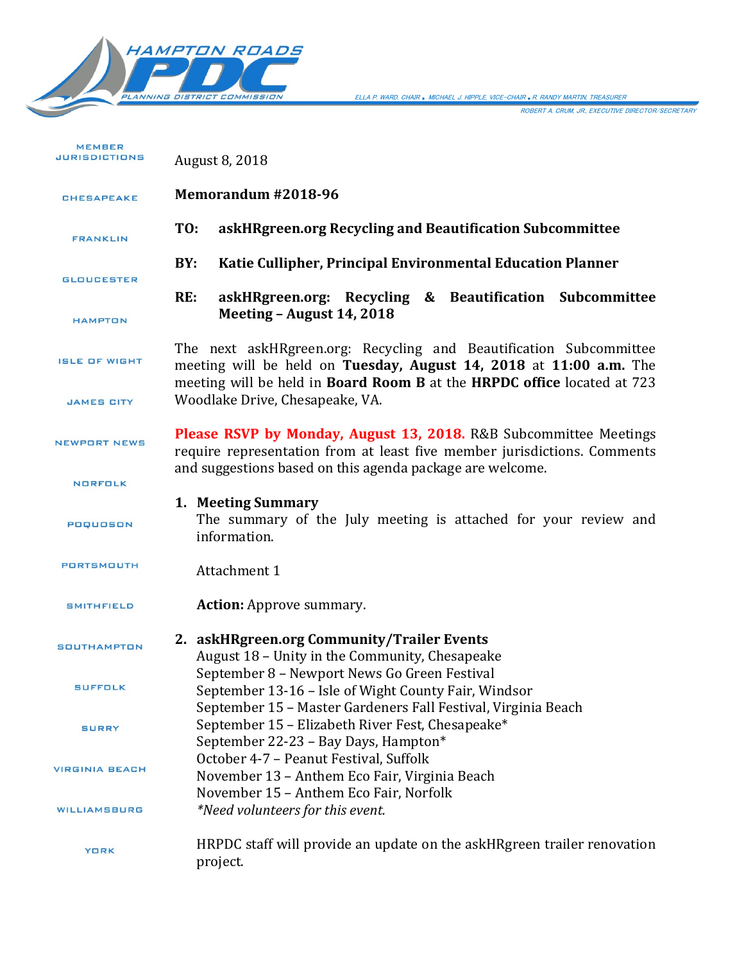

ELLA P. WARD, CHAIR *.* MICHAEL J. HIPPLE, VICE-CHAIR *.*R. RANDY MARTIN, TREASURER

ROBERT A. CRUM, JR., EXECUTIVE DIRECTOR/SECRETARY

| <b>MEMBER</b><br><b>JURISDICTIONS</b> | August 8, 2018                                                                                                                                                                                                      |
|---------------------------------------|---------------------------------------------------------------------------------------------------------------------------------------------------------------------------------------------------------------------|
| <b>CHESAPEAKE</b>                     | Memorandum #2018-96                                                                                                                                                                                                 |
| <b>FRANKLIN</b>                       | TO:<br>askHRgreen.org Recycling and Beautification Subcommittee                                                                                                                                                     |
| <b>GLOUCESTER</b>                     | BY:<br>Katie Cullipher, Principal Environmental Education Planner                                                                                                                                                   |
| <b>HAMPTON</b>                        | RE:<br>askHRgreen.org: Recycling & Beautification Subcommittee<br>Meeting - August 14, 2018                                                                                                                         |
| <b>ISLE OF WIGHT</b>                  | The next askHRgreen.org: Recycling and Beautification Subcommittee<br>meeting will be held on Tuesday, August 14, 2018 at 11:00 a.m. The<br>meeting will be held in Board Room B at the HRPDC office located at 723 |
| <b>JAMES CITY</b>                     | Woodlake Drive, Chesapeake, VA.                                                                                                                                                                                     |
| <b>NEWPORT NEWS</b>                   | <b>Please RSVP by Monday, August 13, 2018.</b> R&B Subcommittee Meetings<br>require representation from at least five member jurisdictions. Comments                                                                |
| <b>NORFOLK</b>                        | and suggestions based on this agenda package are welcome.                                                                                                                                                           |
| POQUOSON                              | 1. Meeting Summary<br>The summary of the July meeting is attached for your review and<br>information.                                                                                                               |
| <b>PORTSMOUTH</b>                     | Attachment 1                                                                                                                                                                                                        |
| <b>SMITHFIELD</b>                     | <b>Action:</b> Approve summary.                                                                                                                                                                                     |
| <b>SOUTHAMPTON</b>                    | 2. askHRgreen.org Community/Trailer Events<br>August 18 - Unity in the Community, Chesapeake<br>September 8 - Newport News Go Green Festival                                                                        |
| <b>SUFFOLK</b>                        | September 13-16 – Isle of Wight County Fair, Windsor<br>September 15 - Master Gardeners Fall Festival, Virginia Beach                                                                                               |
| <b>SURRY</b>                          | September 15 - Elizabeth River Fest, Chesapeake*<br>September 22-23 - Bay Days, Hampton*                                                                                                                            |
| <b>VIRGINIA BEACH</b>                 | October 4-7 - Peanut Festival, Suffolk<br>November 13 - Anthem Eco Fair, Virginia Beach<br>November 15 - Anthem Eco Fair, Norfolk                                                                                   |
| <b>WILLIAMSBURG</b>                   | *Need volunteers for this event.                                                                                                                                                                                    |
| <b>YORK</b>                           | HRPDC staff will provide an update on the askHRgreen trailer renovation<br>project.                                                                                                                                 |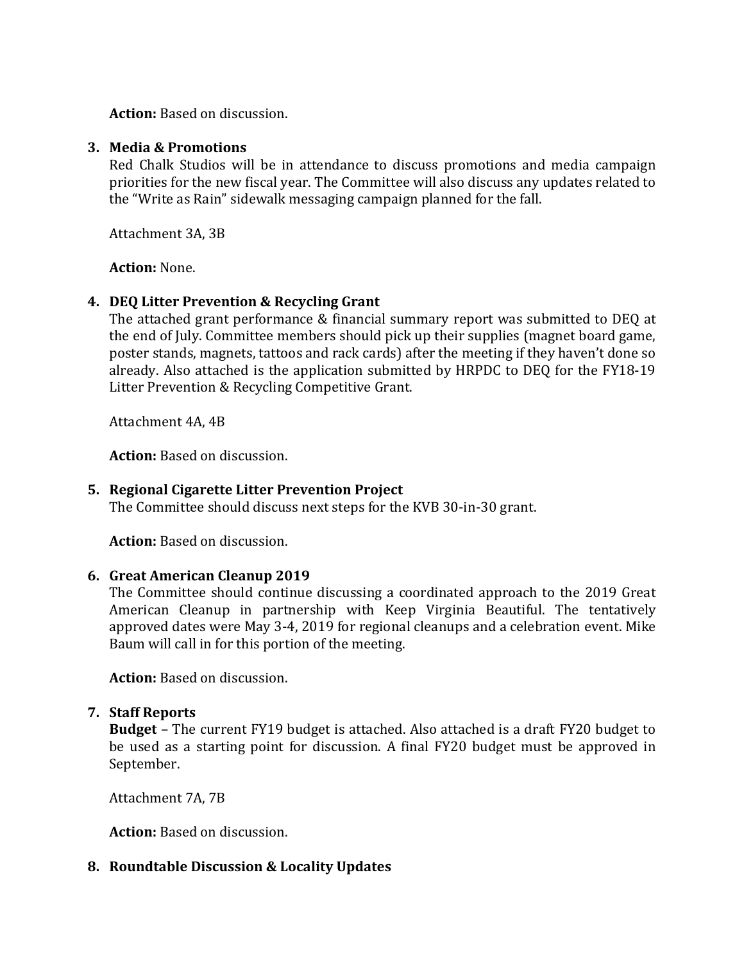**Action:** Based on discussion.

### **3. Media & Promotions**

Red Chalk Studios will be in attendance to discuss promotions and media campaign priorities for the new fiscal year. The Committee will also discuss any updates related to the "Write as Rain" sidewalk messaging campaign planned for the fall.

Attachment 3A, 3B

**Action:** None.

## **4. DEQ Litter Prevention & Recycling Grant**

The attached grant performance & financial summary report was submitted to DEQ at the end of July. Committee members should pick up their supplies (magnet board game, poster stands, magnets, tattoos and rack cards) after the meeting if they haven't done so already. Also attached is the application submitted by HRPDC to DEQ for the FY18-19 Litter Prevention & Recycling Competitive Grant.

Attachment 4A, 4B

**Action:** Based on discussion.

## **5. Regional Cigarette Litter Prevention Project**

The Committee should discuss next steps for the KVB 30-in-30 grant.

**Action:** Based on discussion.

## **6. Great American Cleanup 2019**

The Committee should continue discussing a coordinated approach to the 2019 Great American Cleanup in partnership with Keep Virginia Beautiful. The tentatively approved dates were May 3-4, 2019 for regional cleanups and a celebration event. Mike Baum will call in for this portion of the meeting.

**Action:** Based on discussion.

## **7. Staff Reports**

**Budget** – The current FY19 budget is attached. Also attached is a draft FY20 budget to be used as a starting point for discussion. A final FY20 budget must be approved in September.

Attachment 7A, 7B

**Action:** Based on discussion.

## **8. Roundtable Discussion & Locality Updates**